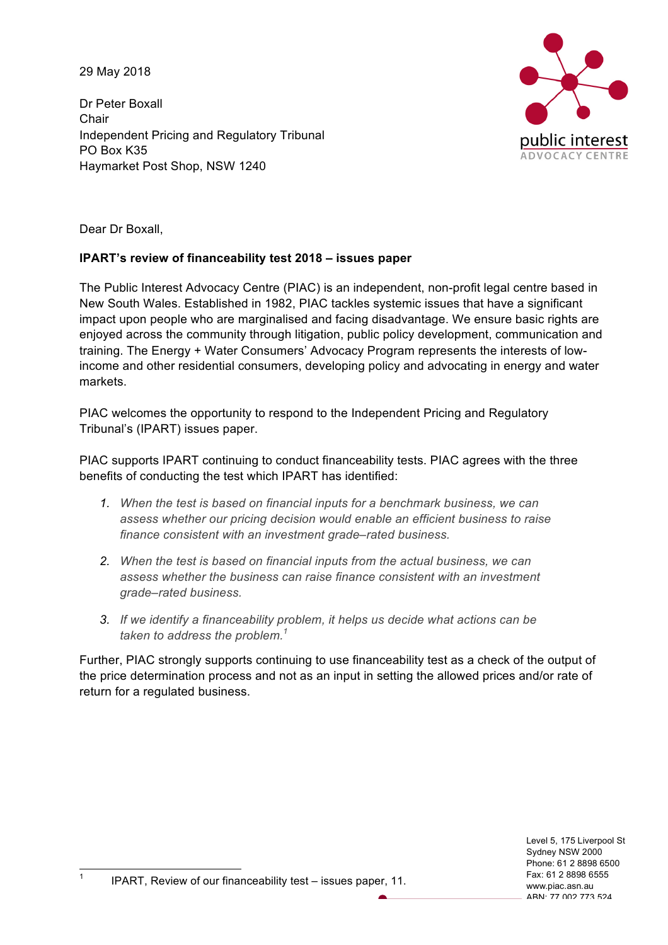29 May 2018

Dr Peter Boxall **Chair** Independent Pricing and Regulatory Tribunal PO Box K35 Haymarket Post Shop, NSW 1240



Dear Dr Boxall,

## **IPART's review of financeability test 2018 – issues paper**

The Public Interest Advocacy Centre (PIAC) is an independent, non-profit legal centre based in New South Wales. Established in 1982, PIAC tackles systemic issues that have a significant impact upon people who are marginalised and facing disadvantage. We ensure basic rights are enjoyed across the community through litigation, public policy development, communication and training. The Energy + Water Consumers' Advocacy Program represents the interests of lowincome and other residential consumers, developing policy and advocating in energy and water markets.

PIAC welcomes the opportunity to respond to the Independent Pricing and Regulatory Tribunal's (IPART) issues paper.

PIAC supports IPART continuing to conduct financeability tests. PIAC agrees with the three benefits of conducting the test which IPART has identified:

- *1. When the test is based on financial inputs for a benchmark business, we can assess whether our pricing decision would enable an efficient business to raise finance consistent with an investment grade–rated business.*
- *2. When the test is based on financial inputs from the actual business, we can assess whether the business can raise finance consistent with an investment grade–rated business.*
- *3. If we identify a financeability problem, it helps us decide what actions can be taken to address the problem.1*

Further, PIAC strongly supports continuing to use financeability test as a check of the output of the price determination process and not as an input in setting the allowed prices and/or rate of return for a regulated business.

> Level 5, 175 Liverpool St Sydney NSW 2000 Phone: 61 2 8898 6500 Fax: 61 2 8898 6555 www.piac.asn.au ABN: 77 002 773 524

1 IPART, Review of our financeability test – issues paper, 11.